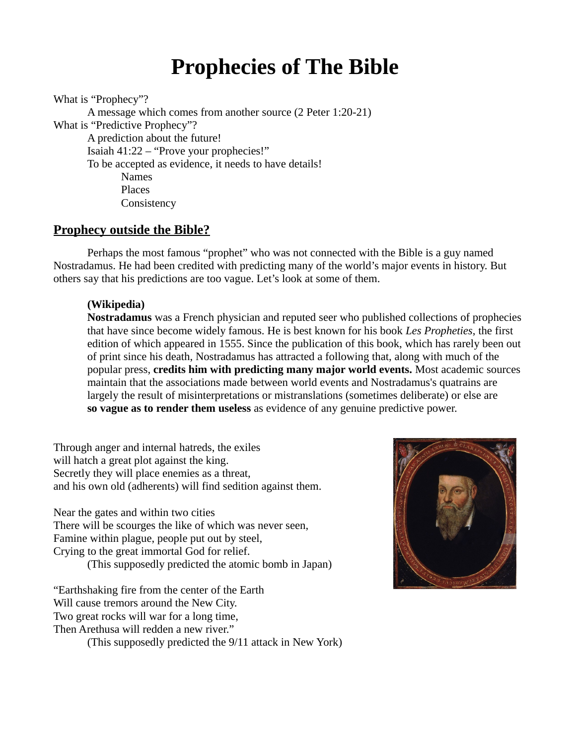# **Prophecies of The Bible**

What is "Prophecy"?

A message which comes from another source (2 Peter 1:20-21) What is "Predictive Prophecy"? A prediction about the future! Isaiah 41:22 – "Prove your prophecies!" To be accepted as evidence, it needs to have details! Names Places **Consistency** 

## **Prophecy outside the Bible?**

Perhaps the most famous "prophet" who was not connected with the Bible is a guy named Nostradamus. He had been credited with predicting many of the world's major events in history. But others say that his predictions are too vague. Let's look at some of them.

## **(Wikipedia)**

**Nostradamus** was a French physician and reputed seer who published collections of prophecies that have since become widely famous. He is best known for his book *Les Propheties*, the first edition of which appeared in 1555. Since the publication of this book, which has rarely been out of print since his death, Nostradamus has attracted a following that, along with much of the popular press, **credits him with predicting many major world events.** Most academic sources maintain that the associations made between world events and Nostradamus's quatrains are largely the result of misinterpretations or mistranslations (sometimes deliberate) or else are **so vague as to render them useless** as evidence of any genuine predictive power.

Through anger and internal hatreds, the exiles will hatch a great plot against the king. Secretly they will place enemies as a threat, and his own old (adherents) will find sedition against them.

Near the gates and within two cities There will be scourges the like of which was never seen, Famine within plague, people put out by steel,

Crying to the great immortal God for relief.

(This supposedly predicted the atomic bomb in Japan)

"Earthshaking fire from the center of the Earth Will cause tremors around the New City. Two great rocks will war for a long time, Then Arethusa will redden a new river."

(This supposedly predicted the 9/11 attack in New York)

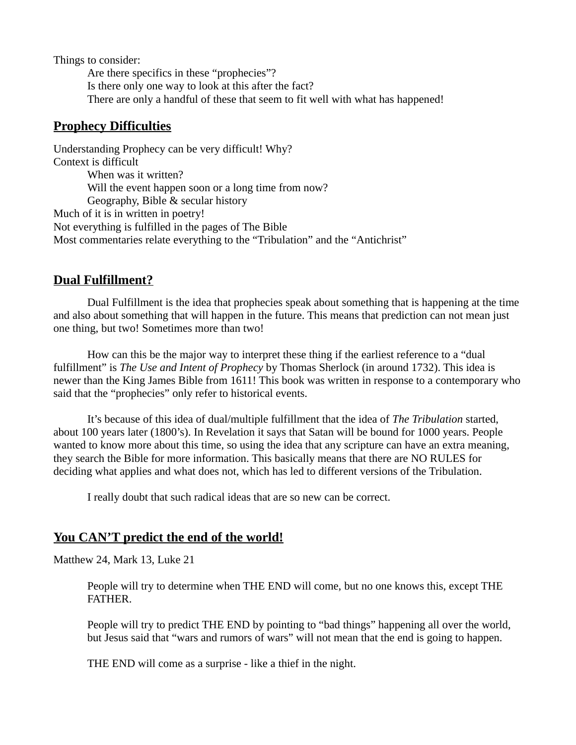Things to consider:

Are there specifics in these "prophecies"? Is there only one way to look at this after the fact? There are only a handful of these that seem to fit well with what has happened!

## **Prophecy Difficulties**

Understanding Prophecy can be very difficult! Why? Context is difficult When was it written? Will the event happen soon or a long time from now? Geography, Bible & secular history Much of it is in written in poetry! Not everything is fulfilled in the pages of The Bible Most commentaries relate everything to the "Tribulation" and the "Antichrist"

# **Dual Fulfillment?**

Dual Fulfillment is the idea that prophecies speak about something that is happening at the time and also about something that will happen in the future. This means that prediction can not mean just one thing, but two! Sometimes more than two!

How can this be the major way to interpret these thing if the earliest reference to a "dual fulfillment" is *The Use and Intent of Prophecy* by Thomas Sherlock (in around 1732). This idea is newer than the King James Bible from 1611! This book was written in response to a contemporary who said that the "prophecies" only refer to historical events.

It's because of this idea of dual/multiple fulfillment that the idea of *The Tribulation* started, about 100 years later (1800's). In Revelation it says that Satan will be bound for 1000 years. People wanted to know more about this time, so using the idea that any scripture can have an extra meaning, they search the Bible for more information. This basically means that there are NO RULES for deciding what applies and what does not, which has led to different versions of the Tribulation.

I really doubt that such radical ideas that are so new can be correct.

# **You CAN'T predict the end of the world!**

Matthew 24, Mark 13, Luke 21

People will try to determine when THE END will come, but no one knows this, except THE FATHER.

People will try to predict THE END by pointing to "bad things" happening all over the world, but Jesus said that "wars and rumors of wars" will not mean that the end is going to happen.

THE END will come as a surprise - like a thief in the night.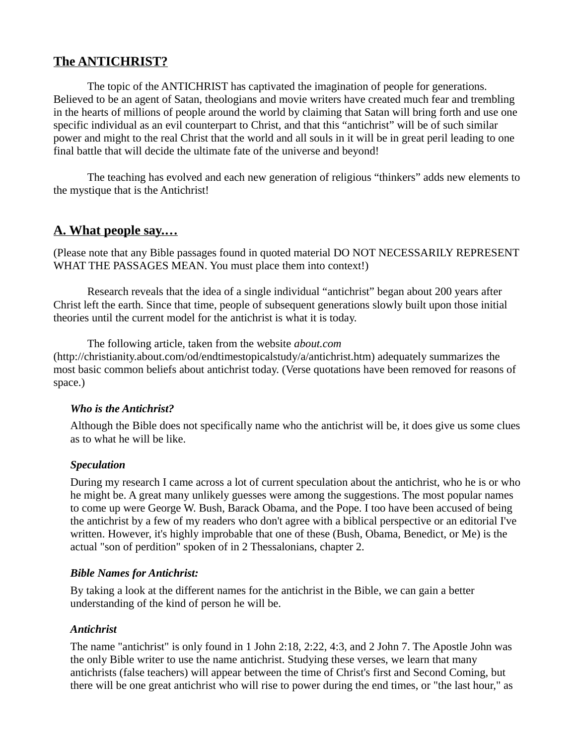# **The ANTICHRIST?**

The topic of the ANTICHRIST has captivated the imagination of people for generations. Believed to be an agent of Satan, theologians and movie writers have created much fear and trembling in the hearts of millions of people around the world by claiming that Satan will bring forth and use one specific individual as an evil counterpart to Christ, and that this "antichrist" will be of such similar power and might to the real Christ that the world and all souls in it will be in great peril leading to one final battle that will decide the ultimate fate of the universe and beyond!

The teaching has evolved and each new generation of religious "thinkers" adds new elements to the mystique that is the Antichrist!

## **A. What people say.…**

(Please note that any Bible passages found in quoted material DO NOT NECESSARILY REPRESENT WHAT THE PASSAGES MEAN. You must place them into context!)

Research reveals that the idea of a single individual "antichrist" began about 200 years after Christ left the earth. Since that time, people of subsequent generations slowly built upon those initial theories until the current model for the antichrist is what it is today.

The following article, taken from the website *about.com* (http://christianity.about.com/od/endtimestopicalstudy/a/antichrist.htm) adequately summarizes the most basic common beliefs about antichrist today. (Verse quotations have been removed for reasons of space.)

#### *Who is the Antichrist?*

Although the Bible does not specifically name who the antichrist will be, it does give us some clues as to what he will be like.

#### *Speculation*

During my research I came across a lot of current speculation about the antichrist, who he is or who he might be. A great many unlikely guesses were among the suggestions. The most popular names to come up were George W. Bush, Barack Obama, and the Pope. I too have been accused of being the antichrist by a few of my readers who don't agree with a biblical perspective or an editorial I've written. However, it's highly improbable that one of these (Bush, Obama, Benedict, or Me) is the actual "son of perdition" spoken of in 2 Thessalonians, chapter 2.

#### *Bible Names for Antichrist:*

By taking a look at the different names for the antichrist in the Bible, we can gain a better understanding of the kind of person he will be.

#### *Antichrist*

The name "antichrist" is only found in 1 John 2:18, 2:22, 4:3, and 2 John 7. The Apostle John was the only Bible writer to use the name antichrist. Studying these verses, we learn that many antichrists (false teachers) will appear between the time of Christ's first and Second Coming, but there will be one great antichrist who will rise to power during the end times, or "the last hour," as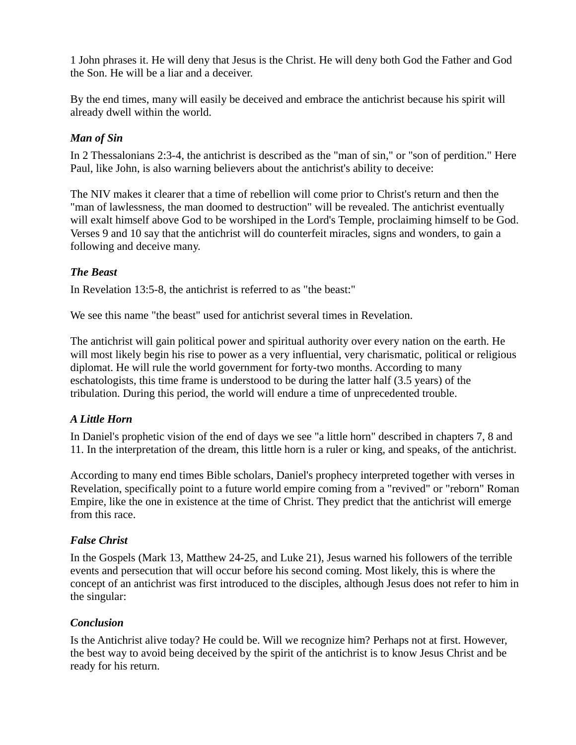1 John phrases it. He will deny that Jesus is the Christ. He will deny both God the Father and God the Son. He will be a liar and a deceiver.

By the end times, many will easily be deceived and embrace the antichrist because his spirit will already dwell within the world.

## *Man of Sin*

In 2 Thessalonians 2:3-4, the antichrist is described as the "man of sin," or "son of perdition." Here Paul, like John, is also warning believers about the antichrist's ability to deceive:

The NIV makes it clearer that a time of rebellion will come prior to Christ's return and then the "man of lawlessness, the man doomed to destruction" will be revealed. The antichrist eventually will exalt himself above God to be worshiped in the Lord's Temple, proclaiming himself to be God. Verses 9 and 10 say that the antichrist will do counterfeit miracles, signs and wonders, to gain a following and deceive many.

## *The Beast*

In Revelation 13:5-8, the antichrist is referred to as "the beast:"

We see this name "the beast" used for antichrist several times in Revelation.

The antichrist will gain political power and spiritual authority over every nation on the earth. He will most likely begin his rise to power as a very influential, very charismatic, political or religious diplomat. He will rule the world government for forty-two months. According to many eschatologists, this time frame is understood to be during the latter half (3.5 years) of the tribulation. During this period, the world will endure a time of unprecedented trouble.

## *A Little Horn*

In Daniel's prophetic vision of the end of days we see "a little horn" described in chapters 7, 8 and 11. In the interpretation of the dream, this little horn is a ruler or king, and speaks, of the antichrist.

According to many end times Bible scholars, Daniel's prophecy interpreted together with verses in Revelation, specifically point to a future world empire coming from a "revived" or "reborn" Roman Empire, like the one in existence at the time of Christ. They predict that the antichrist will emerge from this race.

#### *False Christ*

In the Gospels (Mark 13, Matthew 24-25, and Luke 21), Jesus warned his followers of the terrible events and persecution that will occur before his second coming. Most likely, this is where the concept of an antichrist was first introduced to the disciples, although Jesus does not refer to him in the singular:

#### *Conclusion*

Is the Antichrist alive today? He could be. Will we recognize him? Perhaps not at first. However, the best way to avoid being deceived by the spirit of the antichrist is to know Jesus Christ and be ready for his return.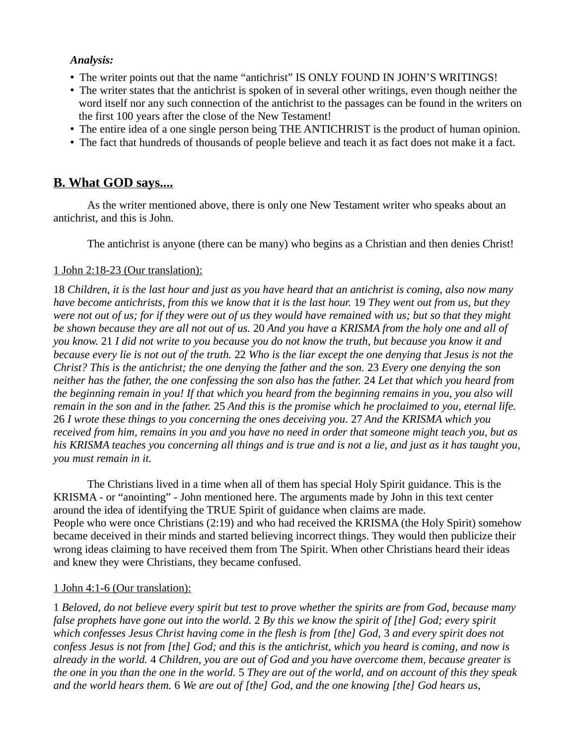#### *Analysis:*

- The writer points out that the name "antichrist" IS ONLY FOUND IN JOHN'S WRITINGS!
- The writer states that the antichrist is spoken of in several other writings, even though neither the word itself nor any such connection of the antichrist to the passages can be found in the writers on the first 100 years after the close of the New Testament!
- The entire idea of a one single person being THE ANTICHRIST is the product of human opinion.
- The fact that hundreds of thousands of people believe and teach it as fact does not make it a fact.

## **B. What GOD says....**

As the writer mentioned above, there is only one New Testament writer who speaks about an antichrist, and this is John.

The antichrist is anyone (there can be many) who begins as a Christian and then denies Christ!

#### 1 John 2:18-23 (Our translation):

18 *Children, it is the last hour and just as you have heard that an antichrist is coming, also now many have become antichrists, from this we know that it is the last hour.* 19 *They went out from us, but they were not out of us; for if they were out of us they would have remained with us; but so that they might be shown because they are all not out of us.* 20 *And you have a KRISMA from the holy one and all of you know.* 21 *I did not write to you because you do not know the truth, but because you know it and because every lie is not out of the truth.* 22 *Who is the liar except the one denying that Jesus is not the Christ? This is the antichrist; the one denying the father and the son.* 23 *Every one denying the son neither has the father, the one confessing the son also has the father.* 24 *Let that which you heard from the beginning remain in you! If that which you heard from the beginning remains in you, you also will remain in the son and in the father.* 25 *And this is the promise which he proclaimed to you, eternal life.*  26 *I wrote these things to you concerning the ones deceiving you.* 27 *And the KRISMA which you received from him, remains in you and you have no need in order that someone might teach you, but as his KRISMA teaches you concerning all things and is true and is not a lie, and just as it has taught you, you must remain in it.* 

The Christians lived in a time when all of them has special Holy Spirit guidance. This is the KRISMA - or "anointing" - John mentioned here. The arguments made by John in this text center around the idea of identifying the TRUE Spirit of guidance when claims are made. People who were once Christians (2:19) and who had received the KRISMA (the Holy Spirit) somehow became deceived in their minds and started believing incorrect things. They would then publicize their wrong ideas claiming to have received them from The Spirit. When other Christians heard their ideas and knew they were Christians, they became confused.

#### 1 John 4:1-6 (Our translation):

1 *Beloved, do not believe every spirit but test to prove whether the spirits are from God, because many false prophets have gone out into the world.* 2 *By this we know the spirit of [the] God; every spirit which confesses Jesus Christ having come in the flesh is from [the] God,* 3 *and every spirit does not confess Jesus is not from [the] God; and this is the antichrist, which you heard is coming, and now is already in the world.* 4 *Children, you are out of God and you have overcome them, because greater is the one in you than the one in the world.* 5 *They are out of the world, and on account of this they speak and the world hears them.* 6 *We are out of [the] God, and the one knowing [the] God hears us,*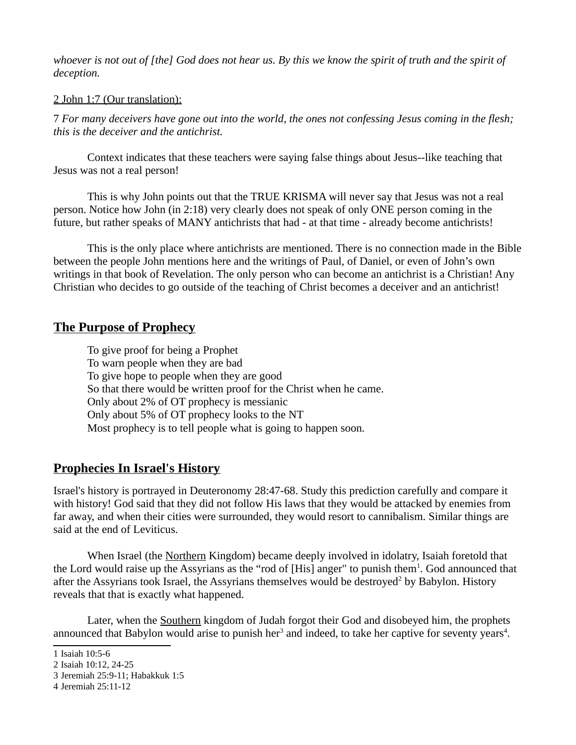*whoever is not out of [the] God does not hear us. By this we know the spirit of truth and the spirit of deception.*

#### 2 John 1:7 (Our translation):

7 *For many deceivers have gone out into the world, the ones not confessing Jesus coming in the flesh; this is the deceiver and the antichrist.* 

Context indicates that these teachers were saying false things about Jesus--like teaching that Jesus was not a real person!

This is why John points out that the TRUE KRISMA will never say that Jesus was not a real person. Notice how John (in 2:18) very clearly does not speak of only ONE person coming in the future, but rather speaks of MANY antichrists that had - at that time - already become antichrists!

This is the only place where antichrists are mentioned. There is no connection made in the Bible between the people John mentions here and the writings of Paul, of Daniel, or even of John's own writings in that book of Revelation. The only person who can become an antichrist is a Christian! Any Christian who decides to go outside of the teaching of Christ becomes a deceiver and an antichrist!

## **The Purpose of Prophecy**

To give proof for being a Prophet To warn people when they are bad To give hope to people when they are good So that there would be written proof for the Christ when he came. Only about 2% of OT prophecy is messianic Only about 5% of OT prophecy looks to the NT Most prophecy is to tell people what is going to happen soon.

# **Prophecies In Israel's History**

Israel's history is portrayed in Deuteronomy 28:47-68. Study this prediction carefully and compare it with history! God said that they did not follow His laws that they would be attacked by enemies from far away, and when their cities were surrounded, they would resort to cannibalism. Similar things are said at the end of Leviticus.

When Israel (the Northern Kingdom) became deeply involved in idolatry, Isaiah foretold that the Lord would raise up the Assyrians as the "rod of [His] anger" to punish them<sup>[1](#page-5-0)</sup>. God announced that after the Assyrians took Israel, the Assyrians themselves would be destroyed<sup>[2](#page-5-1)</sup> by Babylon. History reveals that that is exactly what happened.

Later, when the Southern kingdom of Judah forgot their God and disobeyed him, the prophets announced that Babylon would arise to punish her<sup>[3](#page-5-2)</sup> and indeed, to take her captive for seventy years<sup>[4](#page-5-3)</sup>.

<span id="page-5-0"></span><sup>1</sup> Isaiah 10:5-6

<span id="page-5-1"></span><sup>2</sup> Isaiah 10:12, 24-25

<span id="page-5-2"></span><sup>3</sup> Jeremiah 25:9-11; Habakkuk 1:5

<span id="page-5-3"></span><sup>4</sup> Jeremiah 25:11-12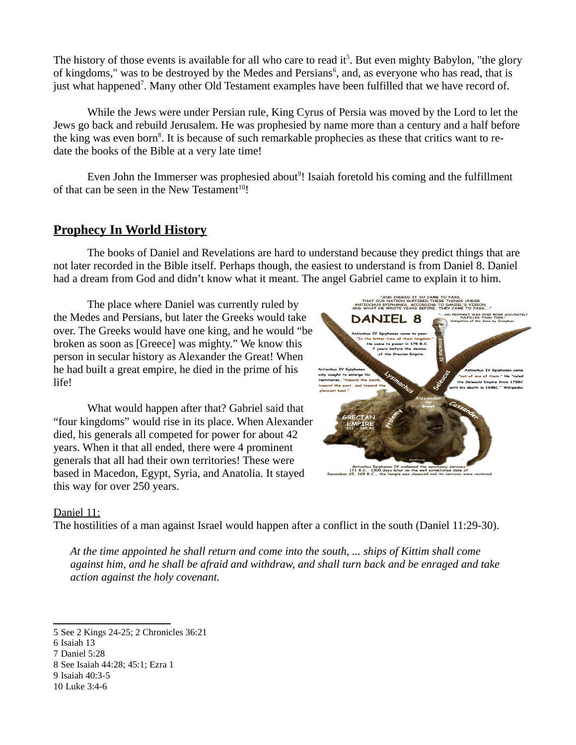The history of those events is available for all who care to read it<sup>[5](#page-6-0)</sup>. But even mighty Babylon, "the glory of kingdoms," was to be destroyed by the Medes and Persians<sup>[6](#page-6-1)</sup>, and, as everyone who has read, that is just what happened<sup>[7](#page-6-2)</sup>. Many other Old Testament examples have been fulfilled that we have record of.

While the Jews were under Persian rule, King Cyrus of Persia was moved by the Lord to let the Jews go back and rebuild Jerusalem. He was prophesied by name more than a century and a half before the king was even born<sup>[8](#page-6-3)</sup>. It is because of such remarkable prophecies as these that critics want to redate the books of the Bible at a very late time!

Even John the Immerser was prophesied about<sup>[9](#page-6-4)</sup>! Isaiah foretold his coming and the fulfillment of that can be seen in the New Testament<sup>[10](#page-6-5)</sup>!

# **Prophecy In World History**

The books of Daniel and Revelations are hard to understand because they predict things that are not later recorded in the Bible itself. Perhaps though, the easiest to understand is from Daniel 8. Daniel had a dream from God and didn't know what it meant. The angel Gabriel came to explain it to him.

The place where Daniel was currently ruled by the Medes and Persians, but later the Greeks would take over. The Greeks would have one king, and he would "be broken as soon as [Greece] was mighty." We know this person in secular history as Alexander the Great! When he had built a great empire, he died in the prime of his life!

What would happen after that? Gabriel said that "four kingdoms" would rise in its place. When Alexander died, his generals all competed for power for about 42 years. When it that all ended, there were 4 prominent generals that all had their own territories! These were based in Macedon, Egypt, Syria, and Anatolia. It stayed this way for over 250 years.



#### Daniel 11:

The hostilities of a man against Israel would happen after a conflict in the south (Daniel 11:29-30).

*At the time appointed he shall return and come into the south, ... ships of Kittim shall come against him, and he shall be afraid and withdraw, and shall turn back and be enraged and take action against the holy covenant.* 

<span id="page-6-0"></span><sup>5</sup> See 2 Kings 24-25; 2 Chronicles 36:21

<span id="page-6-1"></span><sup>6</sup> Isaiah 13

<span id="page-6-2"></span><sup>7</sup> Daniel 5:28

<span id="page-6-3"></span><sup>8</sup> See Isaiah 44:28; 45:1; Ezra 1

<span id="page-6-4"></span><sup>9</sup> Isaiah 40:3-5

<span id="page-6-5"></span><sup>10</sup> Luke 3:4-6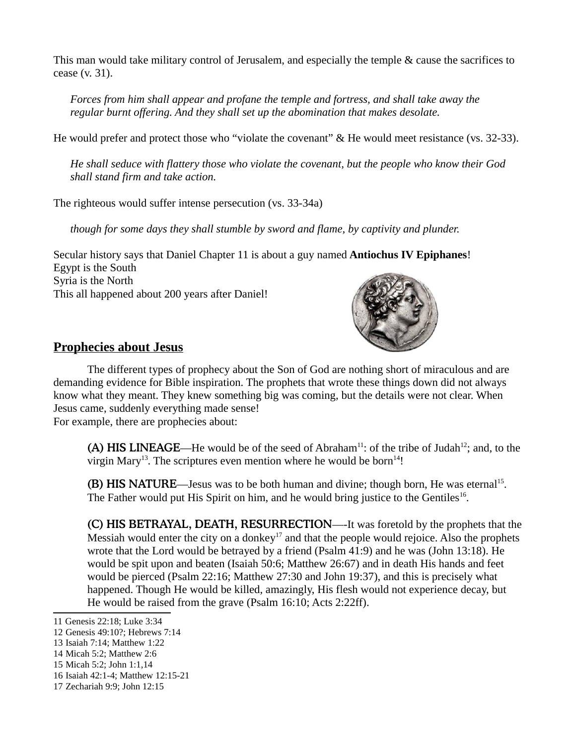This man would take military control of Jerusalem, and especially the temple & cause the sacrifices to cease (v. 31).

*Forces from him shall appear and profane the temple and fortress, and shall take away the regular burnt offering. And they shall set up the abomination that makes desolate.* 

He would prefer and protect those who "violate the covenant" & He would meet resistance (vs. 32-33).

*He shall seduce with flattery those who violate the covenant, but the people who know their God shall stand firm and take action.*

The righteous would suffer intense persecution (vs. 33-34a)

*though for some days they shall stumble by sword and flame, by captivity and plunder.*

Secular history says that Daniel Chapter 11 is about a guy named **Antiochus IV Epiphanes**! Egypt is the South Syria is the North This all happened about 200 years after Daniel!



# **Prophecies about Jesus**

The different types of prophecy about the Son of God are nothing short of miraculous and are demanding evidence for Bible inspiration. The prophets that wrote these things down did not always know what they meant. They knew something big was coming, but the details were not clear. When Jesus came, suddenly everything made sense! For example, there are prophecies about:

(A) HIS LINEAGE—He would be of the seed of Abraham<sup>[11](#page-7-0)</sup>: of the tribe of Judah<sup>[12](#page-7-1)</sup>; and, to the virgin Mary<sup>[13](#page-7-2)</sup>. The scriptures even mention where he would be born<sup>[14](#page-7-3)</sup>!

(B) HIS NATURE—Jesus was to be both human and divine; though born, He was eternal<sup>[15](#page-7-4)</sup>. The Father would put His Spirit on him, and he would bring justice to the Gentiles<sup>[16](#page-7-5)</sup>.

(C) HIS BETRAYAL, DEATH, RESURRECTION—-It was foretold by the prophets that the Messiah would enter the city on a donkey<sup>[17](#page-7-6)</sup> and that the people would rejoice. Also the prophets wrote that the Lord would be betrayed by a friend (Psalm 41:9) and he was (John 13:18). He would be spit upon and beaten (Isaiah 50:6; Matthew 26:67) and in death His hands and feet would be pierced (Psalm 22:16; Matthew 27:30 and John 19:37), and this is precisely what happened. Though He would be killed, amazingly, His flesh would not experience decay, but He would be raised from the grave (Psalm 16:10; Acts 2:22ff).

<span id="page-7-0"></span><sup>11</sup> Genesis 22:18; Luke 3:34

<span id="page-7-1"></span><sup>12</sup> Genesis 49:10?; Hebrews 7:14

<span id="page-7-2"></span><sup>13</sup> Isaiah 7:14; Matthew 1:22

<span id="page-7-3"></span><sup>14</sup> Micah 5:2; Matthew 2:6

<span id="page-7-4"></span><sup>15</sup> Micah 5:2; John 1:1,14

<span id="page-7-5"></span><sup>16</sup> Isaiah 42:1-4; Matthew 12:15-21

<span id="page-7-6"></span><sup>17</sup> Zechariah 9:9; John 12:15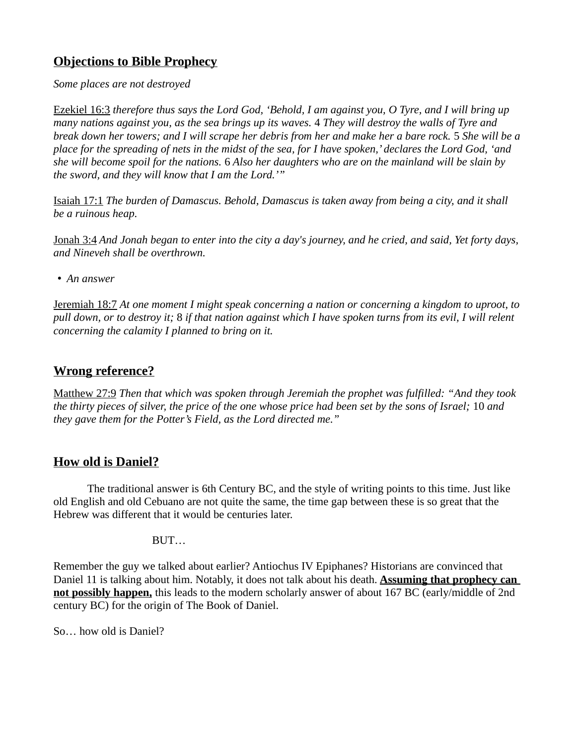# **Objections to Bible Prophecy**

*Some places are not destroyed*

Ezekiel 16:3 *therefore thus says the Lord God, 'Behold, I am against you, O Tyre, and I will bring up many nations against you, as the sea brings up its waves.* 4 *They will destroy the walls of Tyre and break down her towers; and I will scrape her debris from her and make her a bare rock.* 5 *She will be a place for the spreading of nets in the midst of the sea, for I have spoken,' declares the Lord God, 'and she will become spoil for the nations.* 6 *Also her daughters who are on the mainland will be slain by the sword, and they will know that I am the Lord.'"*

Isaiah 17:1 *The burden of Damascus. Behold, Damascus is taken away from being a city, and it shall be a ruinous heap.*

Jonah 3:4 *And Jonah began to enter into the city a day's journey, and he cried, and said, Yet forty days, and Nineveh shall be overthrown.*

• *An answer*

Jeremiah 18:7 *At one moment I might speak concerning a nation or concerning a kingdom to uproot, to pull down, or to destroy it;* 8 *if that nation against which I have spoken turns from its evil, I will relent concerning the calamity I planned to bring on it.* 

# **Wrong reference?**

Matthew 27:9 *Then that which was spoken through Jeremiah the prophet was fulfilled: "And they took the thirty pieces of silver, the price of the one whose price had been set by the sons of Israel;* 10 *and they gave them for the Potter's Field, as the Lord directed me."* 

# **How old is Daniel?**

The traditional answer is 6th Century BC, and the style of writing points to this time. Just like old English and old Cebuano are not quite the same, the time gap between these is so great that the Hebrew was different that it would be centuries later.

BUT…

Remember the guy we talked about earlier? Antiochus IV Epiphanes? Historians are convinced that Daniel 11 is talking about him. Notably, it does not talk about his death. **Assuming that prophecy can not possibly happen,** this leads to the modern scholarly answer of about 167 BC (early/middle of 2nd century BC) for the origin of The Book of Daniel.

So… how old is Daniel?